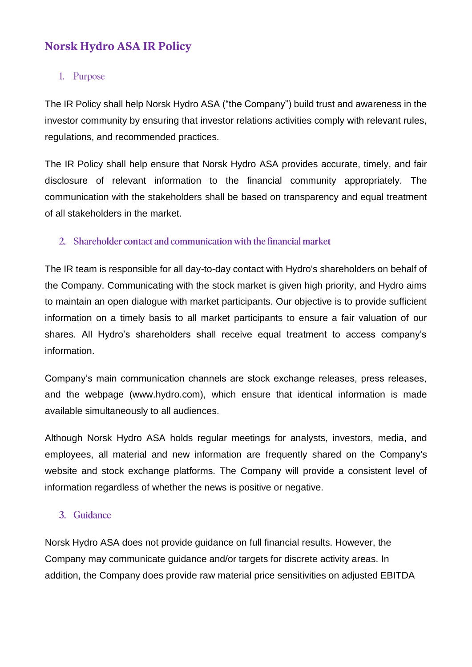# **Norsk Hydro ASA IR Policy**

# 1. Purpose

The IR Policy shall help Norsk Hydro ASA ("the Company") build trust and awareness in the investor community by ensuring that investor relations activities comply with relevant rules, regulations, and recommended practices.

The IR Policy shall help ensure that Norsk Hydro ASA provides accurate, timely, and fair disclosure of relevant information to the financial community appropriately. The communication with the stakeholders shall be based on transparency and equal treatment of all stakeholders in the market.

# 2. Shareholder contact and communication with the financial market

The IR team is responsible for all day-to-day contact with Hydro's shareholders on behalf of the Company. Communicating with the stock market is given high priority, and Hydro aims to maintain an open dialogue with market participants. Our objective is to provide sufficient information on a timely basis to all market participants to ensure a fair valuation of our shares. All Hydro's shareholders shall receive equal treatment to access company's information.

Company's main communication channels are stock exchange releases, press releases, and the webpage (www.hydro.com), which ensure that identical information is made available simultaneously to all audiences.

Although Norsk Hydro ASA holds regular meetings for analysts, investors, media, and employees, all material and new information are frequently shared on the Company's website and stock exchange platforms. The Company will provide a consistent level of information regardless of whether the news is positive or negative.

# 3. Guidance

Norsk Hydro ASA does not provide guidance on full financial results. However, the Company may communicate guidance and/or targets for discrete activity areas. In addition, the Company does provide raw material price sensitivities on adjusted EBITDA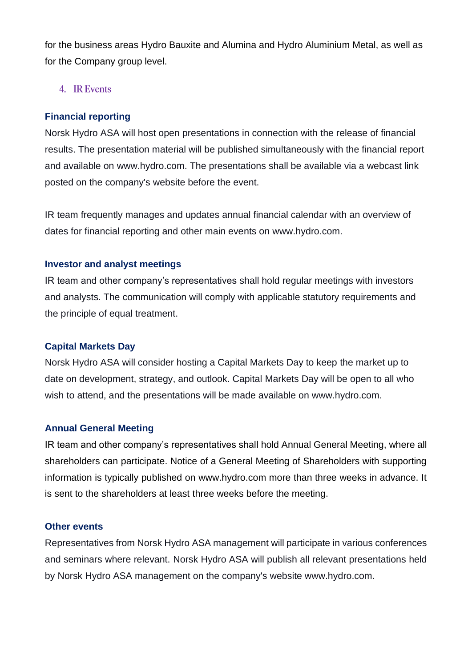for the business areas Hydro Bauxite and Alumina and Hydro Aluminium Metal, as well as for the Company group level.

### 4. IR Events

#### **Financial reporting**

Norsk Hydro ASA will host open presentations in connection with the release of financial results. The presentation material will be published simultaneously with the financial report and available on www.hydro.com. The presentations shall be available via a webcast link posted on the company's website before the event.

IR team frequently manages and updates annual financial calendar with an overview of dates for financial reporting and other main events on www.hydro.com.

#### **Investor and analyst meetings**

IR team and other company's representatives shall hold regular meetings with investors and analysts. The communication will comply with applicable statutory requirements and the principle of equal treatment.

#### **Capital Markets Day**

Norsk Hydro ASA will consider hosting a Capital Markets Day to keep the market up to date on development, strategy, and outlook. Capital Markets Day will be open to all who wish to attend, and the presentations will be made available on www.hydro.com.

### **Annual General Meeting**

IR team and other company's representatives shall hold Annual General Meeting, where all shareholders can participate. Notice of a General Meeting of Shareholders with supporting information is typically published on www.hydro.com more than three weeks in advance. It is sent to the shareholders at least three weeks before the meeting.

#### **Other events**

Representatives from Norsk Hydro ASA management will participate in various conferences and seminars where relevant. Norsk Hydro ASA will publish all relevant presentations held by Norsk Hydro ASA management on the company's website www.hydro.com.